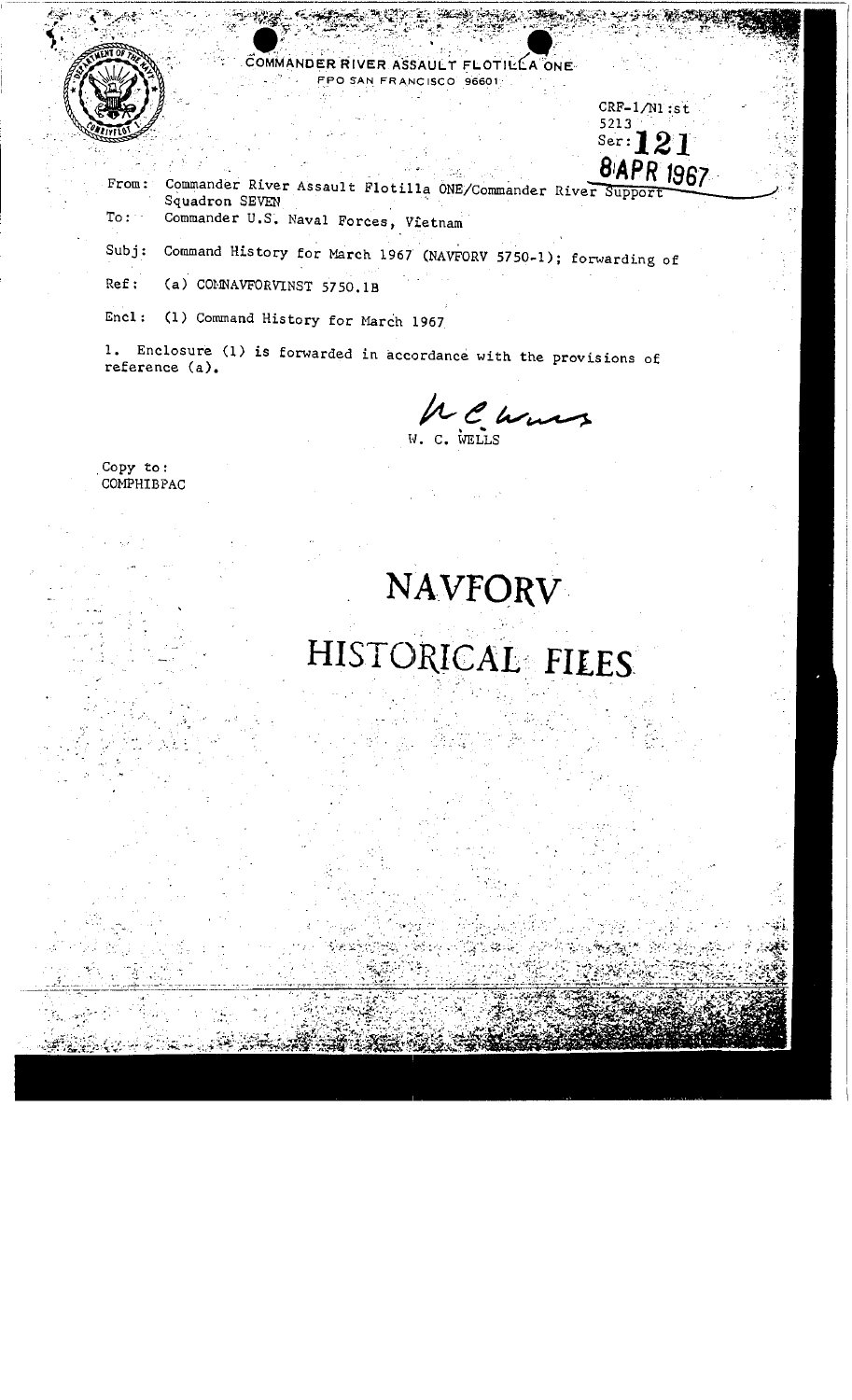

COMMANDER RIVER ASSAULT FLOTILLA ONE FPO SAN FRANCISCO 96601

**8APR 1967** Commander River Assault Flotilla ONE/Commander River Support  $From:$ Squadron SEVEN Commander U.S. Naval Forces, Vietnam  $To:$ 

Command History for March 1967 (NAVFORV 5750-1); forwarding of  $Subj:$ 

 $Ref:$ (a) COMNAVFORVINST 5750.1B

(1) Command History for March 1967  $Encl:$ 

1. Enclosure (1) is forwarded in accordance with the provisions of reference (a).

MChrus

CRF-1/N1:st

 $\overline{\text{Ser}}:121$ 

5213

Copy to: COMPHIBPAC

## **NAVFORV**

## HISTORICAL FILES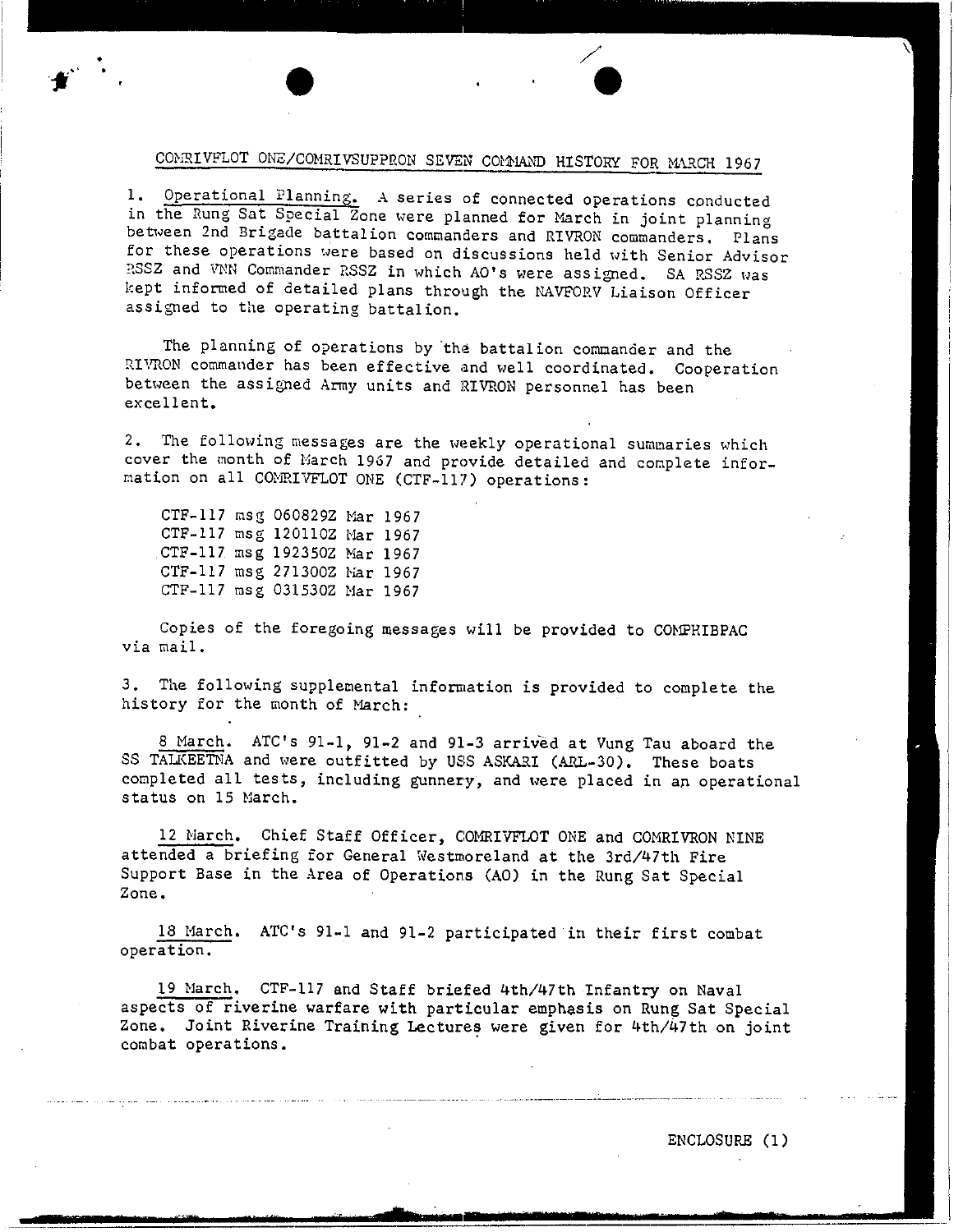## COMRIVFLOT ONE/COMRIVSUPPRON SEVEN COMMAND HISTORY FOR MARCH 1967

 $\bullet$   $\bullet$   $\bullet$ 

 $\bullet$  /  $\bullet$  /  $\bullet$  /  $\bullet$  /  $\bullet$  /  $\bullet$  /  $\bullet$  /  $\bullet$  /  $\bullet$  /  $\bullet$  /  $\bullet$  /  $\bullet$ 

1. Operational Planning. A series of connected operations conducted in the Rung Sat Special Zone were planned for March in joint planning between 2nd Brigade battalion commanders and RIVRON commanders. Plans for these operations were based on discussions held with Senior Advisor P.SSZ and VNN Commander RSSZ in which AO's were assigned. SA RSSZ was kept informed of detailed plans through the NAVFORV Liaison Officer assigned to the operating battalion.

The planning of operations by the battalion commander and the RIVRON commander has been effective and well coordinated. Cooperation between the assigned Army units and RIVRON personnel has been excellent.

2. The following messages are the weekly operational summaries which cover the month of March 1967 and provide detailed and complete information on all COMRIVFLOT ONE (CTF-117) operations:

CTF-117  $msg 060829Z$  Mar 1967 CTF-1l7 **msg** l20ll0Z Uar 1967 CTF-117 msg 192350Z Mar 1967 CTF-117 msg 271300Z Mar 1967 CTF-117 msg 031530Z Mar 1967

Copies of the foregoing messages will be provided to COMPHIBPAC **via mail.** 

3. The following supplemental information is provided to complete the history for the month of March:

8 Harch. ATC's 91-1, 91-2 and 91-3 arrived at Vung Tau aboard the SS TALKEETNA and were outfitted by USS ASKARI (ARL-30). These boats completed all tests, including gunnery, and were placed in an operational status on 15 Harch.

12 March. Chief Staff Officer, COMRIVFLOT ONE and COMRIVRON NINE attended a briefing for General Westmoreland at the 3rd/47th Fire Support Base in the Area of Operations (AO) in the Rung Sat Special **Zone.** 

18 March. ATC's 91-1 and 91-2 participated in their first combat operation.

19 March. CTF-117 and Staff briefed 4th/47th Infantry on Naval aspects of riverine warfare with particular emphasis on Rung Sat Special Zone. Joint Riverine Training Lectures were given for 4th/47th on joint combat operations.

ENCLOSURE (l)